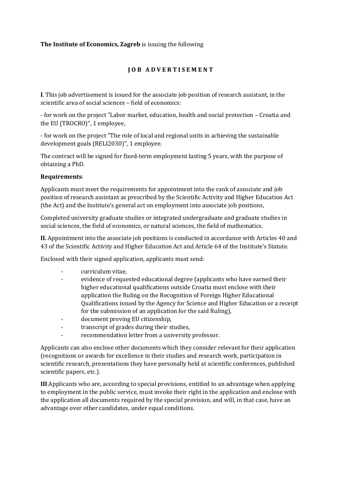## **The Institute of Economics, Zagreb** is issuing the following

## **J O B A D V E R T I S E M E N T**

**I**. This job advertisement is issued for the associate job position of research assistant, in the scientific area of social sciences – field of economics:

- for work on the project "Labor market, education, health and social protection – Croatia and the EU (TROCRO)", 1 employee,

- for work on the project "The role of local and regional units in achieving the sustainable development goals (RELI2030)", 1 employee.

The contract will be signed for fixed-term employment lasting 5 years, with the purpose of obtaining a PhD.

## **Requirements**:

Applicants must meet the requirements for appointment into the rank of associate and job position of research assistant as prescribed by the Scientific Activity and Higher Education Act (the Act) and the Institute's general act on employment into associate job positions,

Completed university graduate studies or integrated undergraduate and graduate studies in social sciences, the field of economics, or natural sciences, the field of mathematics.

**II.** Appointment into the associate job positions is conducted in accordance with Articles 40 and 43 of the Scientific Activity and Higher Education Act and Article 64 of the Institute's Statute.

Enclosed with their signed application, applicants must send:

- curriculum vitae,
- evidence of requested educational degree (applicants who have earned their higher educational qualifications outside Croatia must enclose with their application the Ruling on the Recognition of Foreign Higher Educational Qualifications issued by the Agency for Science and Higher Education or a receipt for the submission of an application for the said Ruling),
- document proving EU citizenship,
- transcript of grades during their studies,
- recommendation letter from a university professor.

Applicants can also enclose other documents which they consider relevant for their application (recognitions or awards for excellence in their studies and research work, participation in scientific research, presentations they have personally held at scientific conferences, published scientific papers, etc.).

**III** Applicants who are, according to special provisions, entitled to an advantage when applying to employment in the public service, must invoke their right in the application and enclose with the application all documents required by the special provision, and will, in that case, have an advantage over other candidates, under equal conditions.